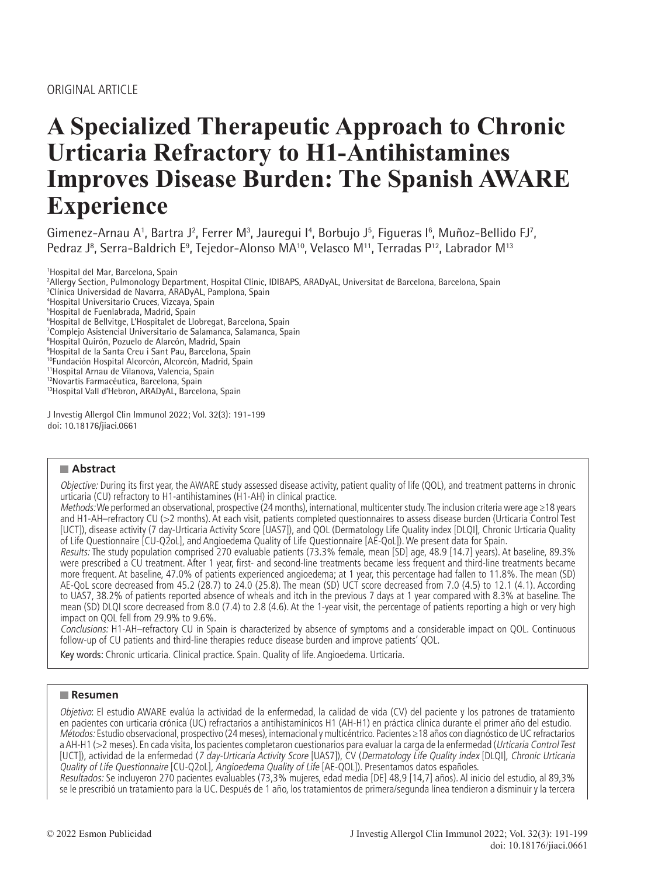# **A Specialized Therapeutic Approach to Chronic Urticaria Refractory to H1-Antihistamines Improves Disease Burden: The Spanish AWARE Experience**

Gimenez-Arnau A<sup>1</sup>, Bartra J<sup>2</sup>, Ferrer M<sup>3</sup>, Jauregui I<sup>4</sup>, Borbujo J<sup>5</sup>, Figueras I<sup>6</sup>, Muñoz-Bellido FJ<sup>7</sup>, Pedraz J<sup>8</sup>, Serra-Baldrich E<sup>9</sup>, Tejedor-Alonso MA<sup>10</sup>, Velasco M<sup>11</sup>, Terradas P<sup>12</sup>, Labrador M<sup>13</sup>

 Hospital del Mar, Barcelona, Spain Allergy Section, Pulmonology Department, Hospital Clínic, IDIBAPS, ARADyAL, Universitat de Barcelona, Barcelona, Spain Clínica Universidad de Navarra, ARADyAL, Pamplona, Spain Hospital Universitario Cruces, Vizcaya, Spain Hospital de Fuenlabrada, Madrid, Spain Hospital de Bellvitge, L'Hospitalet de Llobregat, Barcelona, Spain Complejo Asistencial Universitario de Salamanca, Salamanca, Spain Hospital Quirón, Pozuelo de Alarcón, Madrid, Spain Hospital de la Santa Creu i Sant Pau, Barcelona, Spain <sup>10</sup>Fundación Hospital Alcorcón, Alcorcón, Madrid, Spain 11Hospital Arnau de Vilanova, Valencia, Spain 12Novartis Farmacéutica, Barcelona, Spain 13Hospital Vall d'Hebron, ARADyAL, Barcelona, Spain

J Investig Allergol Clin Immunol 2022; Vol. 32(3): 191-199 doi: 10.18176/jiaci.0661

# **Abstract**

Objective: During its first year, the AWARE study assessed disease activity, patient quality of life (QOL), and treatment patterns in chronic urticaria (CU) refractory to H1-antihistamines (H1-AH) in clinical practice.

Methods: We performed an observational, prospective (24 months), international, multicenter study. The inclusion criteria were age ≥18 years and H1-AH–refractory CU (>2 months). At each visit, patients completed questionnaires to assess disease burden (Urticaria Control Test [UCT]), disease activity (7 day-Urticaria Activity Score [UAS7]), and QOL (Dermatology Life Quality index [DLQI], Chronic Urticaria Quality of Life Questionnaire [CU-Q2oL], and Angioedema Quality of Life Questionnaire [AE-QoL]). We present data for Spain.

Results: The study population comprised 270 evaluable patients (73.3% female, mean [SD] age, 48.9 [14.7] years). At baseline, 89.3% were prescribed a CU treatment. After 1 year, first- and second-line treatments became less frequent and third-line treatments became more frequent. At baseline, 47.0% of patients experienced angioedema; at 1 year, this percentage had fallen to 11.8%. The mean (SD) AE-QoL score decreased from 45.2 (28.7) to 24.0 (25.8). The mean (SD) UCT score decreased from 7.0 (4.5) to 12.1 (4.1). According to UAS7, 38.2% of patients reported absence of wheals and itch in the previous 7 days at 1 year compared with 8.3% at baseline. The mean (SD) DLQI score decreased from 8.0 (7.4) to 2.8 (4.6). At the 1-year visit, the percentage of patients reporting a high or very high impact on QOL fell from 29.9% to 9.6%.

Conclusions: H1-AH–refractory CU in Spain is characterized by absence of symptoms and a considerable impact on QOL. Continuous follow-up of CU patients and third-line therapies reduce disease burden and improve patients' QOL.

Key words: Chronic urticaria. Clinical practice. Spain. Quality of life. Angioedema. Urticaria.

# **Resumen**

Objetivo: El estudio AWARE evalúa la actividad de la enfermedad, la calidad de vida (CV) del paciente y los patrones de tratamiento en pacientes con urticaria crónica (UC) refractarios a antihistamínicos H1 (AH-H1) en práctica clínica durante el primer año del estudio. Métodos: Estudio observacional, prospectivo (24 meses), internacional y multicéntrico. Pacientes ≥18 años con diagnóstico de UC refractarios a AH-H1 (>2 meses). En cada visita, los pacientes completaron cuestionarios para evaluar la carga de la enfermedad (Urticaria Control Test [UCT]), actividad de la enfermedad (7 day-Urticaria Activity Score [UAS7]), CV (Dermatology Life Quality index [DLQI], Chronic Urticaria Quality of Life Questionnaire [CU-Q2oL], Angioedema Quality of Life [AE-QOL]). Presentamos datos españoles.

Resultados: Se incluyeron 270 pacientes evaluables (73,3% mujeres, edad media [DE] 48,9 [14,7] años). Al inicio del estudio, al 89,3% se le prescribió un tratamiento para la UC. Después de 1 año, los tratamientos de primera/segunda línea tendieron a disminuir y la tercera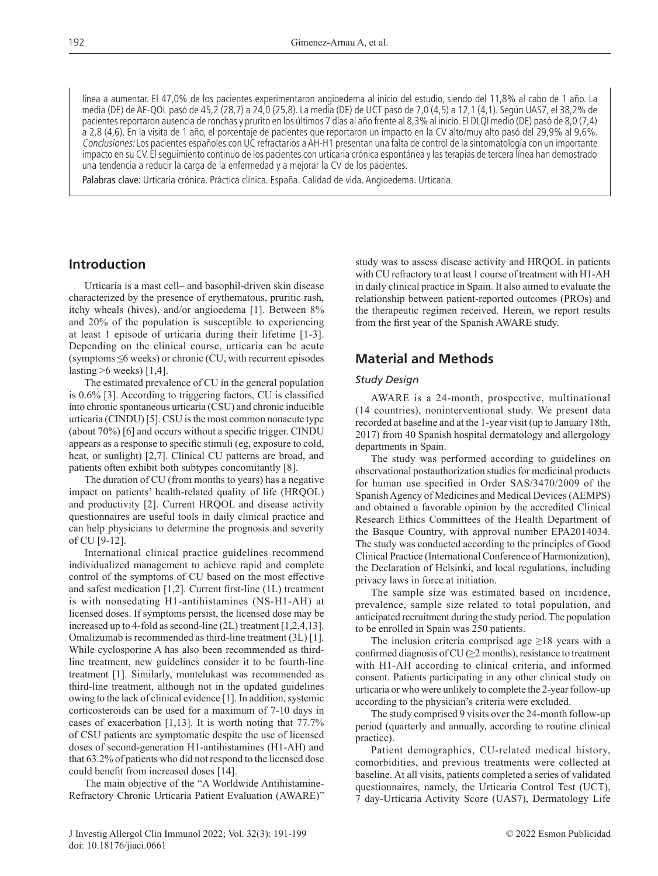línea a aumentar. El 47,0% de los pacientes experimentaron angioedema al inicio del estudio, siendo del 11,8% al cabo de 1 año. La media (DE) de AE-QOL pasó de 45,2 (28,7) a 24,0 (25,8). La media (DE) de UCT pasó de 7,0 (4,5) a 12,1 (4,1). Según UAS7, el 38,2% de pacientes reportaron ausencia de ronchas y prurito en los últimos 7 días al año frente al 8,3% al inicio. El DLQI medio (DE) pasó de 8,0 (7,4) a 2,8 (4,6). En la visita de 1 año, el porcentaje de pacientes que reportaron un impacto en la CV alto/muy alto pasó del 29,9% al 9,6%. Conclusiones: Los pacientes españoles con UC refractarios a AH-H1 presentan una falta de control de la sintomatología con un importante impacto en su CV. El seguimiento continuo de los pacientes con urticaria crónica espontánea y las terapias de tercera línea han demostrado una tendencia a reducir la carga de la enfermedad y a mejorar la CV de los pacientes.

Palabras clave: Urticaria crónica. Práctica clínica. España. Calidad de vida. Angioedema. Urticaria.

# **Introduction**

Urticaria is a mast cell– and basophil-driven skin disease characterized by the presence of erythematous, pruritic rash, itchy wheals (hives), and/or angioedema [1]. Between 8% and 20% of the population is susceptible to experiencing at least 1 episode of urticaria during their lifetime [1-3]. Depending on the clinical course, urticaria can be acute (symptoms ≤6 weeks) or chronic (CU, with recurrent episodes lasting  $>6$  weeks) [1,4].

The estimated prevalence of CU in the general population is 0.6% [3]. According to triggering factors, CU is classified into chronic spontaneous urticaria (CSU) and chronic inducible urticaria (CINDU) [5]. CSU is the most common nonacute type (about 70%) [6] and occurs without a specific trigger. CINDU appears as a response to specific stimuli (eg, exposure to cold, heat, or sunlight) [2,7]. Clinical CU patterns are broad, and patients often exhibit both subtypes concomitantly [8].

The duration of CU (from months to years) has a negative impact on patients' health-related quality of life (HRQOL) and productivity [2]. Current HRQOL and disease activity questionnaires are useful tools in daily clinical practice and can help physicians to determine the prognosis and severity of CU [9-12].

International clinical practice guidelines recommend individualized management to achieve rapid and complete control of the symptoms of CU based on the most effective and safest medication [1,2]. Current first-line (1L) treatment is with nonsedating H1-antihistamines (NS-H1-AH) at licensed doses. If symptoms persist, the licensed dose may be increased up to 4-fold as second-line (2L) treatment [1,2,4,13]. Omalizumab is recommended as third-line treatment (3L) [1]. While cyclosporine A has also been recommended as thirdline treatment, new guidelines consider it to be fourth-line treatment [1]. Similarly, montelukast was recommended as third-line treatment, although not in the updated guidelines owing to the lack of clinical evidence [1]. In addition, systemic corticosteroids can be used for a maximum of 7-10 days in cases of exacerbation [1,13]. It is worth noting that 77.7% of CSU patients are symptomatic despite the use of licensed doses of second-generation H1-antihistamines (H1-AH) and that 63.2% of patients who did not respond to the licensed dose could benefit from increased doses [14].

The main objective of the "A Worldwide Antihistamine-Refractory Chronic Urticaria Patient Evaluation (AWARE)" study was to assess disease activity and HRQOL in patients with CU refractory to at least 1 course of treatment with H1-AH in daily clinical practice in Spain. It also aimed to evaluate the relationship between patient-reported outcomes (PROs) and the therapeutic regimen received. Herein, we report results from the first year of the Spanish AWARE study.

# **Material and Methods**

#### *Study Design*

AWARE is a 24-month, prospective, multinational (14 countries), noninterventional study. We present data recorded at baseline and at the 1-year visit (up to January 18th, 2017) from 40 Spanish hospital dermatology and allergology departments in Spain.

The study was performed according to guidelines on observational postauthorization studies for medicinal products for human use specified in Order SAS/3470/2009 of the Spanish Agency of Medicines and Medical Devices (AEMPS) and obtained a favorable opinion by the accredited Clinical Research Ethics Committees of the Health Department of the Basque Country, with approval number EPA2014034. The study was conducted according to the principles of Good Clinical Practice (International Conference of Harmonization), the Declaration of Helsinki, and local regulations, including privacy laws in force at initiation.

The sample size was estimated based on incidence, prevalence, sample size related to total population, and anticipated recruitment during the study period. The population to be enrolled in Spain was 250 patients.

The inclusion criteria comprised age  $\geq$ 18 years with a confirmed diagnosis of CU ( $\geq$ 2 months), resistance to treatment with H1-AH according to clinical criteria, and informed consent. Patients participating in any other clinical study on urticaria or who were unlikely to complete the 2-year follow-up according to the physician's criteria were excluded.

The study comprised 9 visits over the 24-month follow-up period (quarterly and annually, according to routine clinical practice).

Patient demographics, CU-related medical history, comorbidities, and previous treatments were collected at baseline. At all visits, patients completed a series of validated questionnaires, namely, the Urticaria Control Test (UCT), 7 day-Urticaria Activity Score (UAS7), Dermatology Life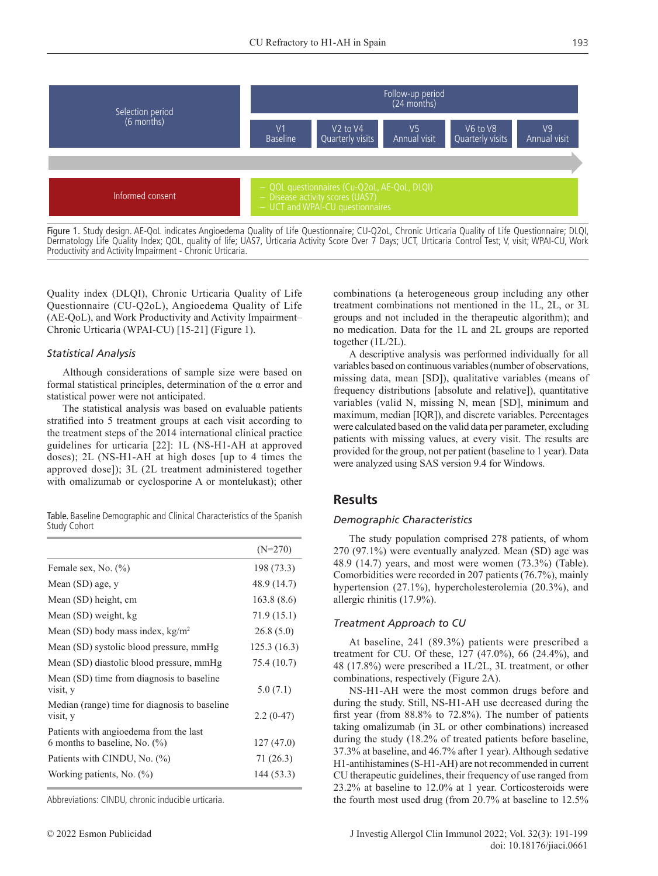

Figure 1. Study design. AE-QoL indicates Angioedema Quality of Life Questionnaire; CU-Q2oL, Chronic Urticaria Quality of Life Questionnaire; DLQI, Dermatology Life Quality Index; QOL, quality of life; UAS7, Urticaria Activity Score Over 7 Days; UCT, Urticaria Control Test; V, visit; WPAI-CU, Work Productivity and Activity Impairment - Chronic Urticaria.

Quality index (DLQI), Chronic Urticaria Quality of Life Questionnaire (CU-Q2oL), Angioedema Quality of Life (AE-QoL), and Work Productivity and Activity Impairment– Chronic Urticaria (WPAI-CU) [15-21] (Figure 1).

#### *Statistical Analysis*

Although considerations of sample size were based on formal statistical principles, determination of the α error and statistical power were not anticipated.

The statistical analysis was based on evaluable patients stratified into 5 treatment groups at each visit according to the treatment steps of the 2014 international clinical practice guidelines for urticaria [22]: 1L (NS-H1-AH at approved doses); 2L (NS-H1-AH at high doses [up to 4 times the approved dose]); 3L (2L treatment administered together with omalizumab or cyclosporine A or montelukast); other

Table. Baseline Demographic and Clinical Characteristics of the Spanish Study Cohort

|                                                                            | $(N=270)$    |
|----------------------------------------------------------------------------|--------------|
| Female sex, No. (%)                                                        | 198 (73.3)   |
| Mean (SD) age, y                                                           | 48.9 (14.7)  |
| Mean (SD) height, cm                                                       | 163.8(8.6)   |
| Mean (SD) weight, kg                                                       | 71.9 (15.1)  |
| Mean (SD) body mass index, $kg/m2$                                         | 26.8(5.0)    |
| Mean (SD) systolic blood pressure, mmHg                                    | 125.3 (16.3) |
| Mean (SD) diastolic blood pressure, mmHg                                   | 75.4 (10.7)  |
| Mean (SD) time from diagnosis to baseline<br>visit, y                      | 5.0(7.1)     |
| Median (range) time for diagnosis to baseline<br>visit, y                  | $2.2(0-47)$  |
| Patients with angioedema from the last<br>6 months to baseline, No. $(\%)$ | 127 (47.0)   |
| Patients with CINDU, No. (%)                                               | 71 (26.3)    |
| Working patients, No. (%)                                                  | 144 (53.3)   |

Abbreviations: CINDU, chronic inducible urticaria.

combinations (a heterogeneous group including any other treatment combinations not mentioned in the 1L, 2L, or 3L groups and not included in the therapeutic algorithm); and no medication. Data for the 1L and 2L groups are reported together (1L/2L).

A descriptive analysis was performed individually for all variables based on continuous variables (number of observations, missing data, mean [SD]), qualitative variables (means of frequency distributions [absolute and relative]), quantitative variables (valid N, missing N, mean [SD], minimum and maximum, median [IQR]), and discrete variables. Percentages were calculated based on the valid data per parameter, excluding patients with missing values, at every visit. The results are provided for the group, not per patient (baseline to 1 year). Data were analyzed using SAS version 9.4 for Windows.

# **Results**

#### *Demographic Characteristics*

The study population comprised 278 patients, of whom 270 (97.1%) were eventually analyzed. Mean (SD) age was 48.9 (14.7) years, and most were women (73.3%) (Table). Comorbidities were recorded in 207 patients (76.7%), mainly hypertension (27.1%), hypercholesterolemia (20.3%), and allergic rhinitis (17.9%).

### *Treatment Approach to CU*

At baseline, 241 (89.3%) patients were prescribed a treatment for CU. Of these, 127 (47.0%), 66 (24.4%), and 48 (17.8%) were prescribed a 1L/2L, 3L treatment, or other combinations, respectively (Figure 2A).

NS-H1-AH were the most common drugs before and during the study. Still, NS-H1-AH use decreased during the first year (from 88.8% to 72.8%). The number of patients taking omalizumab (in 3L or other combinations) increased during the study (18.2% of treated patients before baseline, 37.3% at baseline, and 46.7% after 1 year). Although sedative H1-antihistamines (S-H1-AH) are not recommended in current CU therapeutic guidelines, their frequency of use ranged from 23.2% at baseline to 12.0% at 1 year. Corticosteroids were the fourth most used drug (from 20.7% at baseline to 12.5%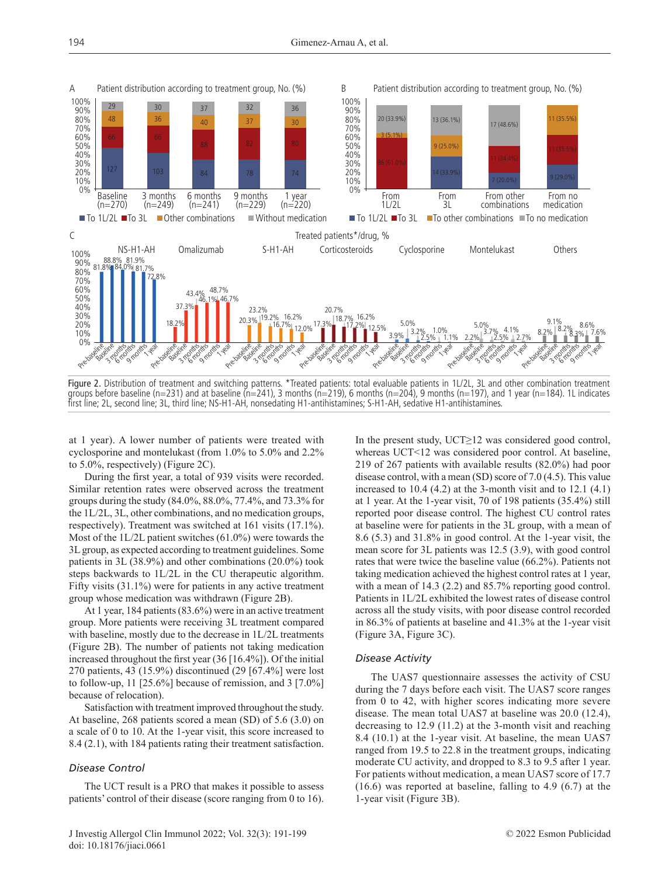

Figure 2. Distribution of treatment and switching patterns. \*Treated patients: total evaluable patients in 1L/2L, 3L and other combination treatment groups before baseline (n=231) and at baseline (n=241), 3 months (n=219), 6 months (n=204), 9 months (n=197), and 1 year (n=184). 1L indicates first line; 2L, second line; 3L, third line; NS-H1-AH, nonsedating H1-antihistamines; S-H1-AH, sedative H1-antihistamines.

at 1 year). A lower number of patients were treated with cyclosporine and montelukast (from 1.0% to 5.0% and 2.2% to 5.0%, respectively) (Figure 2C).

During the first year, a total of 939 visits were recorded. Similar retention rates were observed across the treatment groups during the study (84.0%, 88.0%, 77.4%, and 73.3% for the 1L/2L, 3L, other combinations, and no medication groups, respectively). Treatment was switched at 161 visits (17.1%). Most of the 1L/2L patient switches (61.0%) were towards the 3L group, as expected according to treatment guidelines. Some patients in 3L (38.9%) and other combinations (20.0%) took steps backwards to 1L/2L in the CU therapeutic algorithm. Fifty visits (31.1%) were for patients in any active treatment group whose medication was withdrawn (Figure 2B).

At 1 year, 184 patients (83.6%) were in an active treatment group. More patients were receiving 3L treatment compared with baseline, mostly due to the decrease in 1L/2L treatments (Figure 2B). The number of patients not taking medication increased throughout the first year (36 [16.4%]). Of the initial 270 patients, 43 (15.9%) discontinued (29 [67.4%] were lost to follow-up, 11 [25.6%] because of remission, and 3 [7.0%] because of relocation).

Satisfaction with treatment improved throughout the study. At baseline, 268 patients scored a mean (SD) of 5.6 (3.0) on a scale of 0 to 10. At the 1-year visit, this score increased to 8.4 (2.1), with 184 patients rating their treatment satisfaction.

#### *Disease Control*

The UCT result is a PRO that makes it possible to assess patients' control of their disease (score ranging from 0 to 16). In the present study, UCT≥12 was considered good control, whereas UCT<12 was considered poor control. At baseline, 219 of 267 patients with available results (82.0%) had poor disease control, with a mean (SD) score of 7.0 (4.5). This value increased to  $10.4$  (4.2) at the 3-month visit and to  $12.1$  (4.1) at 1 year. At the 1-year visit, 70 of 198 patients (35.4%) still reported poor disease control. The highest CU control rates at baseline were for patients in the 3L group, with a mean of 8.6 (5.3) and 31.8% in good control. At the 1-year visit, the mean score for 3L patients was 12.5 (3.9), with good control rates that were twice the baseline value (66.2%). Patients not taking medication achieved the highest control rates at 1 year, with a mean of 14.3 (2.2) and 85.7% reporting good control. Patients in 1L/2L exhibited the lowest rates of disease control across all the study visits, with poor disease control recorded in 86.3% of patients at baseline and 41.3% at the 1-year visit (Figure 3A, Figure 3C).

#### *Disease Activity*

The UAS7 questionnaire assesses the activity of CSU during the 7 days before each visit. The UAS7 score ranges from 0 to 42, with higher scores indicating more severe disease. The mean total UAS7 at baseline was 20.0 (12.4), decreasing to 12.9 (11.2) at the 3-month visit and reaching 8.4 (10.1) at the 1-year visit. At baseline, the mean UAS7 ranged from 19.5 to 22.8 in the treatment groups, indicating moderate CU activity, and dropped to 8.3 to 9.5 after 1 year. For patients without medication, a mean UAS7 score of 17.7 (16.6) was reported at baseline, falling to 4.9 (6.7) at the 1-year visit (Figure 3B).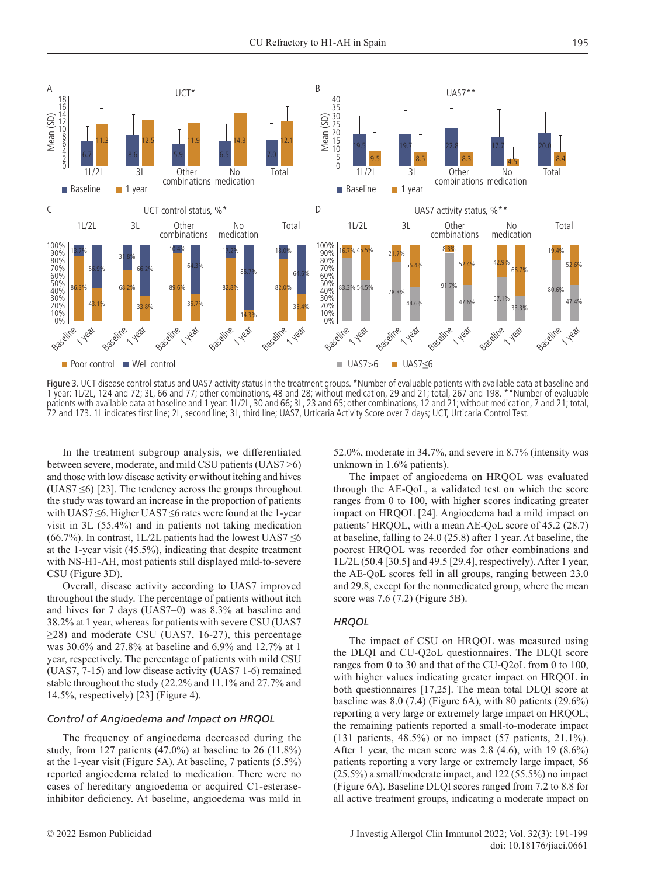

Figure 3. UCT disease control status and UAS7 activity status in the treatment groups. \*Number of evaluable patients with available data at baseline and 1 year: 1L/2L, 124 and 72; 3L, 66 and 77; other combinations, 48 and 28; without medication, 29 and 21; total, 267 and 198. \*\*Number of evaluable patients with available data at baseline and 1 year: 1L/2L, 30 and 66; 3L, 23 and 65; other combinations, 12 and 21; without medication, 7 and 21; total, 72 and 173. 1L indicates first line; 2L, second line; 3L, third line; UAS7, Urticaria Activity Score over 7 days; UCT, Urticaria Control Test.

In the treatment subgroup analysis, we differentiated between severe, moderate, and mild CSU patients (UAS7 >6) and those with low disease activity or without itching and hives (UAS7  $\leq$ 6) [23]. The tendency across the groups throughout the study was toward an increase in the proportion of patients with UAS7 ≤6. Higher UAS7 ≤6 rates were found at the 1-year visit in 3L (55.4%) and in patients not taking medication (66.7%). In contrast, 1L/2L patients had the lowest UAS7  $\leq$ 6 at the 1-year visit (45.5%), indicating that despite treatment with NS-H1-AH, most patients still displayed mild-to-severe CSU (Figure 3D).

Overall, disease activity according to UAS7 improved throughout the study. The percentage of patients without itch and hives for 7 days (UAS7=0) was 8.3% at baseline and 38.2% at 1 year, whereas for patients with severe CSU (UAS7  $\geq$ 28) and moderate CSU (UAS7, 16-27), this percentage was 30.6% and 27.8% at baseline and 6.9% and 12.7% at 1 year, respectively. The percentage of patients with mild CSU (UAS7, 7-15) and low disease activity (UAS7 1-6) remained stable throughout the study (22.2% and 11.1% and 27.7% and 14.5%, respectively) [23] (Figure 4).

#### *Control of Angioedema and Impact on HRQOL*

The frequency of angioedema decreased during the study, from 127 patients (47.0%) at baseline to 26 (11.8%) at the 1-year visit (Figure 5A). At baseline, 7 patients (5.5%) reported angioedema related to medication. There were no cases of hereditary angioedema or acquired C1-esteraseinhibitor deficiency. At baseline, angioedema was mild in 52.0%, moderate in 34.7%, and severe in 8.7% (intensity was unknown in 1.6% patients).

The impact of angioedema on HRQOL was evaluated through the AE-QoL, a validated test on which the score ranges from 0 to 100, with higher scores indicating greater impact on HRQOL [24]. Angioedema had a mild impact on patients' HRQOL, with a mean AE-QoL score of 45.2 (28.7) at baseline, falling to 24.0 (25.8) after 1 year. At baseline, the poorest HRQOL was recorded for other combinations and 1L/2L (50.4 [30.5] and 49.5 [29.4], respectively). After 1 year, the AE-QoL scores fell in all groups, ranging between 23.0 and 29.8, except for the nonmedicated group, where the mean score was 7.6 (7.2) (Figure 5B).

#### *HRQOL*

The impact of CSU on HRQOL was measured using the DLQI and CU-Q2oL questionnaires. The DLQI score ranges from 0 to 30 and that of the CU-Q2oL from 0 to 100, with higher values indicating greater impact on HRQOL in both questionnaires [17,25]. The mean total DLQI score at baseline was 8.0 (7.4) (Figure 6A), with 80 patients (29.6%) reporting a very large or extremely large impact on HRQOL; the remaining patients reported a small-to-moderate impact (131 patients, 48.5%) or no impact (57 patients, 21.1%). After 1 year, the mean score was  $2.8$  (4.6), with 19 (8.6%) patients reporting a very large or extremely large impact, 56 (25.5%) a small/moderate impact, and 122 (55.5%) no impact (Figure 6A). Baseline DLQI scores ranged from 7.2 to 8.8 for all active treatment groups, indicating a moderate impact on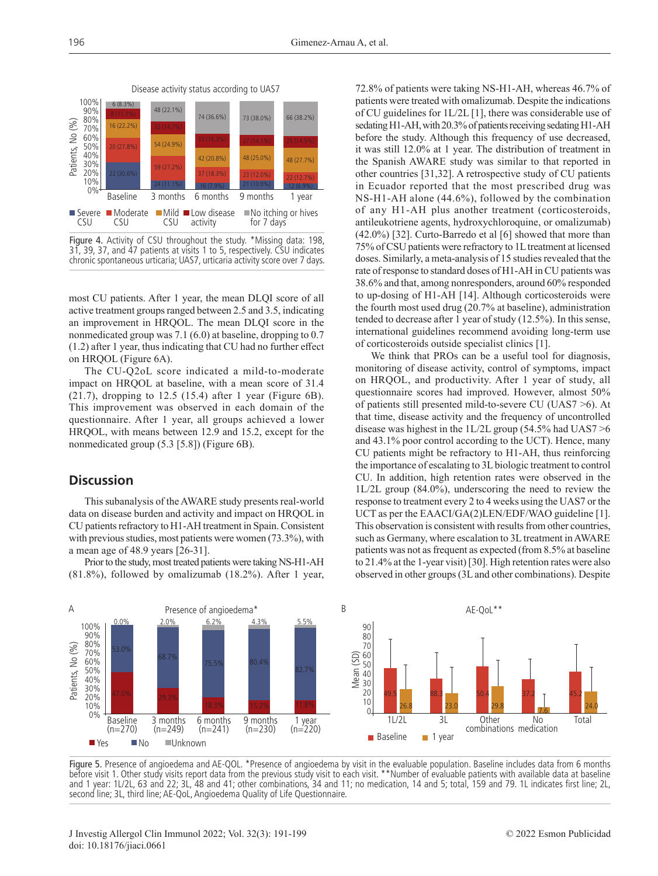

Figure 4. Activity of CSU throughout the study. \*Missing data: 198, 31, 39, 37, and 47 patients at visits 1 to 5, respectively. CSU indicates chronic spontaneous urticaria; UAS7, urticaria activity score over 7 days.

most CU patients. After 1 year, the mean DLQI score of all active treatment groups ranged between 2.5 and 3.5, indicating an improvement in HRQOL. The mean DLQI score in the nonmedicated group was 7.1 (6.0) at baseline, dropping to 0.7 (1.2) after 1 year, thus indicating that CU had no further effect on HRQOL (Figure 6A).

The CU-Q2oL score indicated a mild-to-moderate impact on HRQOL at baseline, with a mean score of 31.4  $(21.7)$ , dropping to 12.5  $(15.4)$  after 1 year (Figure 6B). This improvement was observed in each domain of the questionnaire. After 1 year, all groups achieved a lower HRQOL, with means between 12.9 and 15.2, except for the nonmedicated group (5.3 [5.8]) (Figure 6B).

# **Discussion**

This subanalysis of the AWARE study presents real-world data on disease burden and activity and impact on HRQOL in CU patients refractory to H1-AH treatment in Spain. Consistent with previous studies, most patients were women (73.3%), with a mean age of 48.9 years [26-31].

Prior to the study, most treated patients were taking NS-H1-AH (81.8%), followed by omalizumab (18.2%). After 1 year, 72.8% of patients were taking NS-H1-AH, whereas 46.7% of patients were treated with omalizumab. Despite the indications of CU guidelines for 1L/2L [1], there was considerable use of sedating H1-AH, with 20.3% of patients receiving sedating H1-AH before the study. Although this frequency of use decreased, it was still 12.0% at 1 year. The distribution of treatment in the Spanish AWARE study was similar to that reported in other countries [31,32]. A retrospective study of CU patients in Ecuador reported that the most prescribed drug was NS-H1-AH alone (44.6%), followed by the combination of any H1-AH plus another treatment (corticosteroids, antileukotriene agents, hydroxychloroquine, or omalizumab) (42.0%) [32]. Curto-Barredo et al [6] showed that more than 75% of CSU patients were refractory to 1L treatment at licensed doses. Similarly, a meta-analysis of 15 studies revealed that the rate of response to standard doses of H1-AH in CU patients was 38.6% and that, among nonresponders, around 60% responded to up-dosing of H1-AH [14]. Although corticosteroids were the fourth most used drug (20.7% at baseline), administration tended to decrease after 1 year of study (12.5%). In this sense, international guidelines recommend avoiding long-term use of corticosteroids outside specialist clinics [1].

We think that PROs can be a useful tool for diagnosis, monitoring of disease activity, control of symptoms, impact on HRQOL, and productivity. After 1 year of study, all questionnaire scores had improved. However, almost 50% of patients still presented mild-to-severe CU (UAS7 >6). At that time, disease activity and the frequency of uncontrolled disease was highest in the 1L/2L group (54.5% had UAS7 >6 and 43.1% poor control according to the UCT). Hence, many CU patients might be refractory to H1-AH, thus reinforcing the importance of escalating to 3L biologic treatment to control CU. In addition, high retention rates were observed in the 1L/2L group (84.0%), underscoring the need to review the response to treatment every 2 to 4 weeks using the UAS7 or the UCT as per the EAACI/GA(2)LEN/EDF/WAO guideline [1]. This observation is consistent with results from other countries, such as Germany, where escalation to 3L treatment in AWARE patients was not as frequent as expected (from 8.5% at baseline to 21.4% at the 1-year visit) [30]. High retention rates were also observed in other groups (3L and other combinations). Despite



Figure 5. Presence of angioedema and AE-QOL. \*Presence of angioedema by visit in the evaluable population. Baseline includes data from 6 months before visit 1. Other study visits report data from the previous study visit to each visit. \*\*Number of evaluable patients with available data at baseline and 1 year: 1L/2L, 63 and 22; 3L, 48 and 41; other combinations, 34 and 11; no medication, 14 and 5; total, 159 and 79. 1L indicates first line; 2L, second line; 3L, third line; AE-QoL, Angioedema Quality of Life Questionnaire.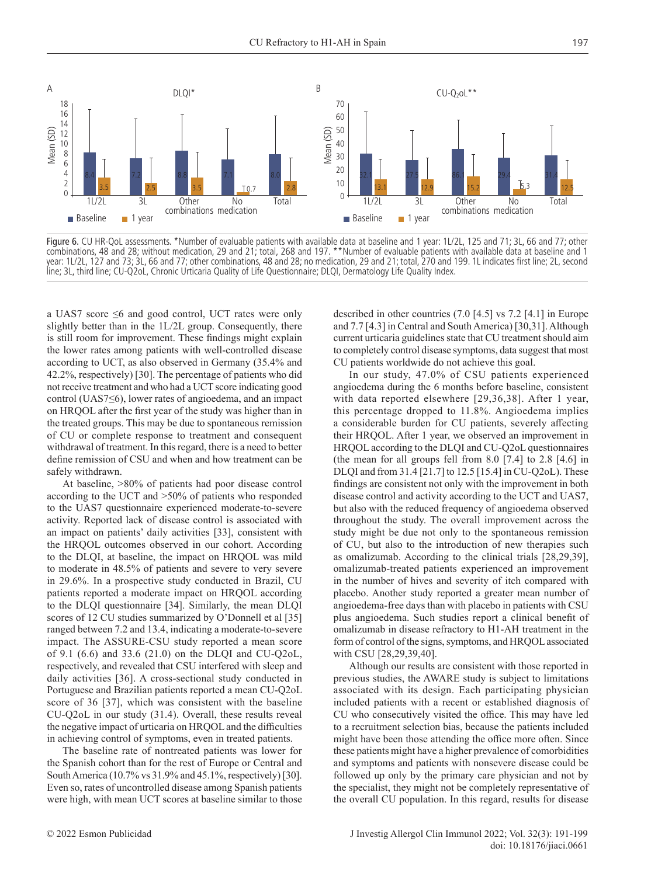

Figure 6. CU HR-QoL assessments. \*Number of evaluable patients with available data at baseline and 1 year: 1L/2L, 125 and 71; 3L, 66 and 77; other combinations, 48 and 28; without medication, 29 and 21; total, 268 and 197. \*\*Number of evaluable patients with available data at baseline and 1 year: 1L/2L, 127 and 73; 3L, 66 and 77; other combinations, 48 and 28; no medication, 29 and 21; total, 270 and 199. 1L indicates first line; 2L, second line; 3L, third line; CU-Q2oL, Chronic Urticaria Quality of Life Questionnaire; DLQI, Dermatology Life Quality Index.

a UAS7 score ≤6 and good control, UCT rates were only slightly better than in the 1L/2L group. Consequently, there is still room for improvement. These findings might explain the lower rates among patients with well-controlled disease according to UCT, as also observed in Germany (35.4% and 42.2%, respectively) [30]. The percentage of patients who did not receive treatment and who had a UCT score indicating good control (UAS7≤6), lower rates of angioedema, and an impact on HRQOL after the first year of the study was higher than in the treated groups. This may be due to spontaneous remission of CU or complete response to treatment and consequent withdrawal of treatment. In this regard, there is a need to better define remission of CSU and when and how treatment can be safely withdrawn.

At baseline, >80% of patients had poor disease control according to the UCT and >50% of patients who responded to the UAS7 questionnaire experienced moderate-to-severe activity. Reported lack of disease control is associated with an impact on patients' daily activities [33], consistent with the HRQOL outcomes observed in our cohort. According to the DLQI, at baseline, the impact on HRQOL was mild to moderate in 48.5% of patients and severe to very severe in 29.6%. In a prospective study conducted in Brazil, CU patients reported a moderate impact on HRQOL according to the DLQI questionnaire [34]. Similarly, the mean DLQI scores of 12 CU studies summarized by O'Donnell et al [35] ranged between 7.2 and 13.4, indicating a moderate-to-severe impact. The ASSURE-CSU study reported a mean score of 9.1 (6.6) and 33.6 (21.0) on the DLQI and CU-Q2oL, respectively, and revealed that CSU interfered with sleep and daily activities [36]. A cross-sectional study conducted in Portuguese and Brazilian patients reported a mean CU-Q2oL score of 36 [37], which was consistent with the baseline CU-Q2oL in our study (31.4). Overall, these results reveal the negative impact of urticaria on HRQOL and the difficulties in achieving control of symptoms, even in treated patients.

The baseline rate of nontreated patients was lower for the Spanish cohort than for the rest of Europe or Central and South America (10.7% vs 31.9% and 45.1%, respectively) [30]. Even so, rates of uncontrolled disease among Spanish patients were high, with mean UCT scores at baseline similar to those

described in other countries (7.0 [4.5] vs 7.2 [4.1] in Europe and 7.7 [4.3] in Central and South America) [30,31]. Although current urticaria guidelines state that CU treatment should aim to completely control disease symptoms, data suggest that most CU patients worldwide do not achieve this goal.

In our study, 47.0% of CSU patients experienced angioedema during the 6 months before baseline, consistent with data reported elsewhere [29,36,38]. After 1 year, this percentage dropped to 11.8%. Angioedema implies a considerable burden for CU patients, severely affecting their HRQOL. After 1 year, we observed an improvement in HRQOL according to the DLQI and CU-Q2oL questionnaires (the mean for all groups fell from 8.0 [7.4] to 2.8 [4.6] in DLQI and from 31.4 [21.7] to 12.5 [15.4] in CU-Q2oL). These findings are consistent not only with the improvement in both disease control and activity according to the UCT and UAS7, but also with the reduced frequency of angioedema observed throughout the study. The overall improvement across the study might be due not only to the spontaneous remission of CU, but also to the introduction of new therapies such as omalizumab. According to the clinical trials [28,29,39], omalizumab-treated patients experienced an improvement in the number of hives and severity of itch compared with placebo. Another study reported a greater mean number of angioedema-free days than with placebo in patients with CSU plus angioedema. Such studies report a clinical benefit of omalizumab in disease refractory to H1-AH treatment in the form of control of the signs, symptoms, and HRQOL associated with CSU [28,29,39,40].

Although our results are consistent with those reported in previous studies, the AWARE study is subject to limitations associated with its design. Each participating physician included patients with a recent or established diagnosis of CU who consecutively visited the office. This may have led to a recruitment selection bias, because the patients included might have been those attending the office more often. Since these patients might have a higher prevalence of comorbidities and symptoms and patients with nonsevere disease could be followed up only by the primary care physician and not by the specialist, they might not be completely representative of the overall CU population. In this regard, results for disease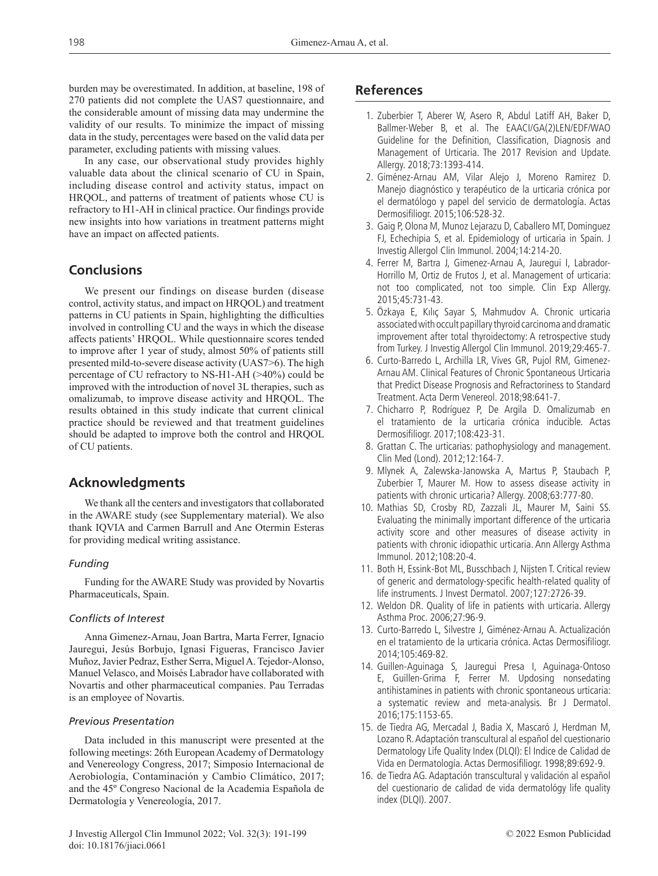burden may be overestimated. In addition, at baseline, 198 of 270 patients did not complete the UAS7 questionnaire, and the considerable amount of missing data may undermine the validity of our results. To minimize the impact of missing data in the study, percentages were based on the valid data per parameter, excluding patients with missing values.

In any case, our observational study provides highly valuable data about the clinical scenario of CU in Spain, including disease control and activity status, impact on HRQOL, and patterns of treatment of patients whose CU is refractory to H1-AH in clinical practice. Our findings provide new insights into how variations in treatment patterns might have an impact on affected patients.

# **Conclusions**

We present our findings on disease burden (disease control, activity status, and impact on HRQOL) and treatment patterns in CU patients in Spain, highlighting the difficulties involved in controlling CU and the ways in which the disease affects patients' HRQOL. While questionnaire scores tended to improve after 1 year of study, almost 50% of patients still presented mild-to-severe disease activity (UAS7>6). The high percentage of CU refractory to NS-H1-AH (>40%) could be improved with the introduction of novel 3L therapies, such as omalizumab, to improve disease activity and HRQOL. The results obtained in this study indicate that current clinical practice should be reviewed and that treatment guidelines should be adapted to improve both the control and HRQOL of CU patients.

# **Acknowledgments**

We thank all the centers and investigators that collaborated in the AWARE study (see Supplementary material). We also thank IQVIA and Carmen Barrull and Ane Otermin Esteras for providing medical writing assistance.

### *Funding*

Funding for the AWARE Study was provided by Novartis Pharmaceuticals, Spain.

#### *Conflicts of Interest*

Anna Gimenez-Arnau, Joan Bartra, Marta Ferrer, Ignacio Jauregui, Jesús Borbujo, Ignasi Figueras, Francisco Javier Muñoz, Javier Pedraz, Esther Serra, Miguel A. Tejedor-Alonso, Manuel Velasco, and Moisés Labrador have collaborated with Novartis and other pharmaceutical companies. Pau Terradas is an employee of Novartis.

#### *Previous Presentation*

Data included in this manuscript were presented at the following meetings: 26th European Academy of Dermatology and Venereology Congress, 2017; Simposio Internacional de Aerobiología, Contaminación y Cambio Climático, 2017; and the 45º Congreso Nacional de la Academia Española de Dermatología y Venereología, 2017.

# **References**

- 1. Zuberbier T, Aberer W, Asero R, Abdul Latiff AH, Baker D, Ballmer-Weber B, et al. The EAACI/GA(2)LEN/EDF/WAO Guideline for the Definition, Classification, Diagnosis and Management of Urticaria. The 2017 Revision and Update. Allergy. 2018;73:1393-414.
- 2. Giménez-Arnau AM, Vilar Alejo J, Moreno Ramirez D. Manejo diagnóstico y terapéutico de la urticaria crónica por el dermatólogo y papel del servicio de dermatología. Actas Dermosifiliogr. 2015;106:528-32.
- 3. Gaig P, Olona M, Munoz Lejarazu D, Caballero MT, Dominguez FJ, Echechipia S, et al. Epidemiology of urticaria in Spain. J Investig Allergol Clin Immunol. 2004;14:214-20.
- 4. Ferrer M, Bartra J, Gimenez-Arnau A, Jauregui I, Labrador-Horrillo M, Ortiz de Frutos J, et al. Management of urticaria: not too complicated, not too simple. Clin Exp Allergy. 2015;45:731-43.
- 5. Özkaya E, Kılıç Sayar S, Mahmudov A. Chronic urticaria associated with occult papillary thyroid carcinoma and dramatic improvement after total thyroidectomy: A retrospective study from Turkey. J Investig Allergol Clin Immunol. 2019;29:465-7.
- 6. Curto-Barredo L, Archilla LR, Vives GR, Pujol RM, Gimenez-Arnau AM. Clinical Features of Chronic Spontaneous Urticaria that Predict Disease Prognosis and Refractoriness to Standard Treatment. Acta Derm Venereol. 2018;98:641-7.
- 7. Chicharro P, Rodríguez P, De Argila D. Omalizumab en el tratamiento de la urticaria crónica inducible. Actas Dermosifiliogr. 2017;108:423-31.
- 8. Grattan C. The urticarias: pathophysiology and management. Clin Med (Lond). 2012;12:164-7.
- 9. Mlynek A, Zalewska-Janowska A, Martus P, Staubach P, Zuberbier T, Maurer M. How to assess disease activity in patients with chronic urticaria? Allergy. 2008;63:777-80.
- 10. Mathias SD, Crosby RD, Zazzali JL, Maurer M, Saini SS. Evaluating the minimally important difference of the urticaria activity score and other measures of disease activity in patients with chronic idiopathic urticaria. Ann Allergy Asthma Immunol. 2012;108:20-4.
- 11. Both H, Essink-Bot ML, Busschbach J, Nijsten T. Critical review of generic and dermatology-specific health-related quality of life instruments. J Invest Dermatol. 2007;127:2726-39.
- 12. Weldon DR. Quality of life in patients with urticaria. Allergy Asthma Proc. 2006;27:96-9.
- 13. Curto-Barredo L, Silvestre J, Giménez-Arnau A. Actualización en el tratamiento de la urticaria crónica. Actas Dermosifiliogr. 2014;105:469-82.
- 14. Guillen-Aguinaga S, Jauregui Presa I, Aguinaga-Ontoso E, Guillen-Grima F, Ferrer M. Updosing nonsedating antihistamines in patients with chronic spontaneous urticaria: a systematic review and meta-analysis. Br J Dermatol. 2016;175:1153-65.
- 15. de Tiedra AG, Mercadal J, Badia X, Mascaró J, Herdman M, Lozano R. Adaptación transcultural al español del cuestionario Dermatology Life Quality Index (DLQI): El Indice de Calidad de Vida en Dermatología. Actas Dermosifiliogr. 1998;89:692-9.
- 16. de Tiedra AG. Adaptación transcultural y validación al español del cuestionario de calidad de vida dermatológy life quality index (DLQI). 2007.